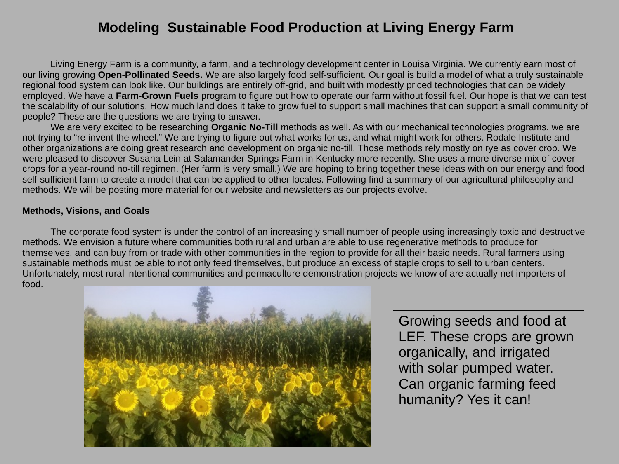# **Modeling Sustainable Food Production at Living Energy Farm**

Living Energy Farm is a community, a farm, and a technology development center in Louisa Virginia. We currently earn most of our living growing **Open-Pollinated Seeds.** We are also largely food self-sufficient. Our goal is build a model of what a truly sustainable regional food system can look like. Our buildings are entirely off-grid, and built with modestly priced technologies that can be widely employed. We have a **Farm-Grown Fuels** program to figure out how to operate our farm without fossil fuel. Our hope is that we can test the scalability of our solutions. How much land does it take to grow fuel to support small machines that can support a small community of people? These are the questions we are trying to answer.

We are very excited to be researching **Organic No-Till** methods as well. As with our mechanical technologies programs, we are not trying to "re-invent the wheel." We are trying to figure out what works for us, and what might work for others. Rodale Institute and other organizations are doing great research and development on organic no-till. Those methods rely mostly on rye as cover crop. We were pleased to discover Susana Lein at Salamander Springs Farm in Kentucky more recently. She uses a more diverse mix of covercrops for a year-round no-till regimen. (Her farm is very small.) We are hoping to bring together these ideas with on our energy and food self-sufficient farm to create a model that can be applied to other locales. Following find a summary of our agricultural philosophy and methods. We will be posting more material for our website and newsletters as our projects evolve.

### **Methods, Visions, and Goals**

The corporate food system is under the control of an increasingly small number of people using increasingly toxic and destructive methods. We envision a future where communities both rural and urban are able to use regenerative methods to produce for themselves, and can buy from or trade with other communities in the region to provide for all their basic needs. Rural farmers using sustainable methods must be able to not only feed themselves, but produce an excess of staple crops to sell to urban centers. Unfortunately, most rural intentional communities and permaculture demonstration projects we know of are actually net importers of food.



Growing seeds and food at LEF. These crops are grown organically, and irrigated with solar pumped water. Can organic farming feed humanity? Yes it can!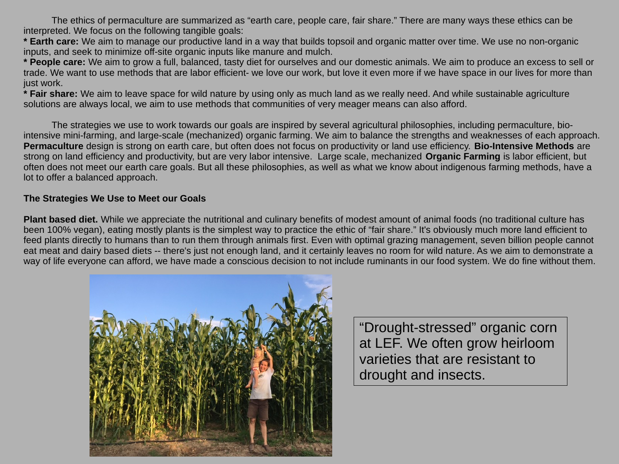The ethics of permaculture are summarized as "earth care, people care, fair share." There are many ways these ethics can be interpreted. We focus on the following tangible goals:

**\* Earth care:** We aim to manage our productive land in a way that builds topsoil and organic matter over time. We use no non-organic inputs, and seek to minimize off-site organic inputs like manure and mulch.

**\* People care:** We aim to grow a full, balanced, tasty diet for ourselves and our domestic animals. We aim to produce an excess to sell or trade. We want to use methods that are labor efficient- we love our work, but love it even more if we have space in our lives for more than just work.

**\* Fair share:** We aim to leave space for wild nature by using only as much land as we really need. And while sustainable agriculture solutions are always local, we aim to use methods that communities of very meager means can also afford.

The strategies we use to work towards our goals are inspired by several agricultural philosophies, including permaculture, biointensive mini-farming, and large-scale (mechanized) organic farming. We aim to balance the strengths and weaknesses of each approach. **Permaculture** design is strong on earth care, but often does not focus on productivity or land use efficiency. **Bio-Intensive Methods** are strong on land efficiency and productivity, but are very labor intensive. Large scale, mechanized **Organic Farming** is labor efficient, but often does not meet our earth care goals. But all these philosophies, as well as what we know about indigenous farming methods, have a lot to offer a balanced approach.

#### **The Strategies We Use to Meet our Goals**

**Plant based diet.** While we appreciate the nutritional and culinary benefits of modest amount of animal foods (no traditional culture has been 100% vegan), eating mostly plants is the simplest way to practice the ethic of "fair share." It's obviously much more land efficient to feed plants directly to humans than to run them through animals first. Even with optimal grazing management, seven billion people cannot eat meat and dairy based diets -- there's just not enough land, and it certainly leaves no room for wild nature. As we aim to demonstrate a way of life everyone can afford, we have made a conscious decision to not include ruminants in our food system. We do fine without them.



"Drought-stressed" organic corn at LEF. We often grow heirloom varieties that are resistant to drought and insects.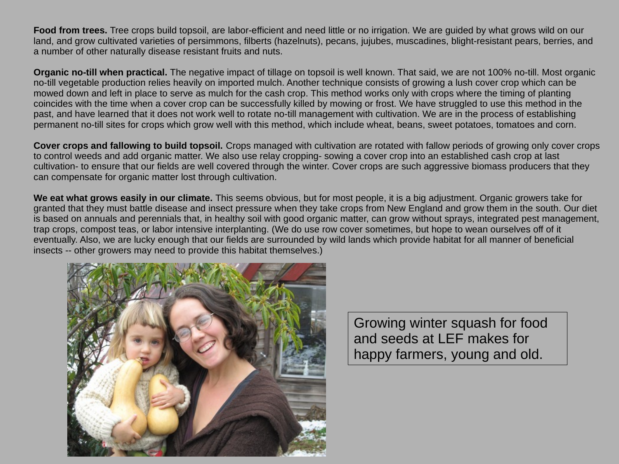**Food from trees.** Tree crops build topsoil, are labor-efficient and need little or no irrigation. We are guided by what grows wild on our land, and grow cultivated varieties of persimmons, filberts (hazelnuts), pecans, jujubes, muscadines, blight-resistant pears, berries, and a number of other naturally disease resistant fruits and nuts.

**Organic no-till when practical.** The negative impact of tillage on topsoil is well known. That said, we are not 100% no-till. Most organic no-till vegetable production relies heavily on imported mulch. Another technique consists of growing a lush cover crop which can be mowed down and left in place to serve as mulch for the cash crop. This method works only with crops where the timing of planting coincides with the time when a cover crop can be successfully killed by mowing or frost. We have struggled to use this method in the past, and have learned that it does not work well to rotate no-till management with cultivation. We are in the process of establishing permanent no-till sites for crops which grow well with this method, which include wheat, beans, sweet potatoes, tomatoes and corn.

**Cover crops and fallowing to build topsoil.** Crops managed with cultivation are rotated with fallow periods of growing only cover crops to control weeds and add organic matter. We also use relay cropping- sowing a cover crop into an established cash crop at last cultivation- to ensure that our fields are well covered through the winter. Cover crops are such aggressive biomass producers that they can compensate for organic matter lost through cultivation.

**We eat what grows easily in our climate.** This seems obvious, but for most people, it is a big adjustment. Organic growers take for granted that they must battle disease and insect pressure when they take crops from New England and grow them in the south. Our diet is based on annuals and perennials that, in healthy soil with good organic matter, can grow without sprays, integrated pest management, trap crops, compost teas, or labor intensive interplanting. (We do use row cover sometimes, but hope to wean ourselves off of it eventually. Also, we are lucky enough that our fields are surrounded by wild lands which provide habitat for all manner of beneficial insects -- other growers may need to provide this habitat themselves.)



Growing winter squash for food and seeds at LEF makes for happy farmers, young and old.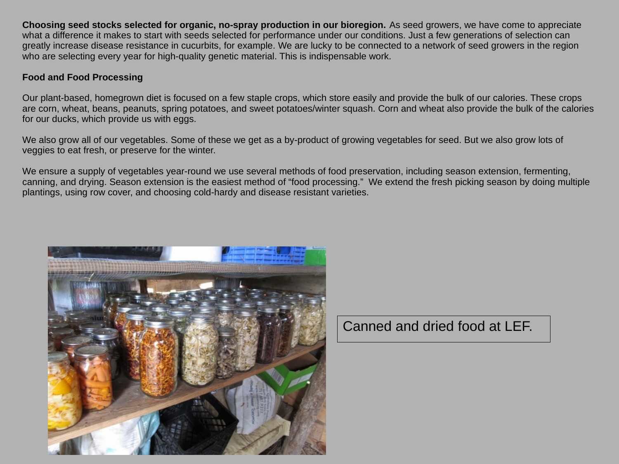**Choosing seed stocks selected for organic, no-spray production in our bioregion.** As seed growers, we have come to appreciate what a difference it makes to start with seeds selected for performance under our conditions. Just a few generations of selection can greatly increase disease resistance in cucurbits, for example. We are lucky to be connected to a network of seed growers in the region who are selecting every year for high-quality genetic material. This is indispensable work.

## **Food and Food Processing**

Our plant-based, homegrown diet is focused on a few staple crops, which store easily and provide the bulk of our calories. These crops are corn, wheat, beans, peanuts, spring potatoes, and sweet potatoes/winter squash. Corn and wheat also provide the bulk of the calories for our ducks, which provide us with eggs.

We also grow all of our vegetables. Some of these we get as a by-product of growing vegetables for seed. But we also grow lots of veggies to eat fresh, or preserve for the winter.

We ensure a supply of vegetables year-round we use several methods of food preservation, including season extension, fermenting, canning, and drying. Season extension is the easiest method of "food processing." We extend the fresh picking season by doing multiple plantings, using row cover, and choosing cold-hardy and disease resistant varieties.



Canned and dried food at LEF.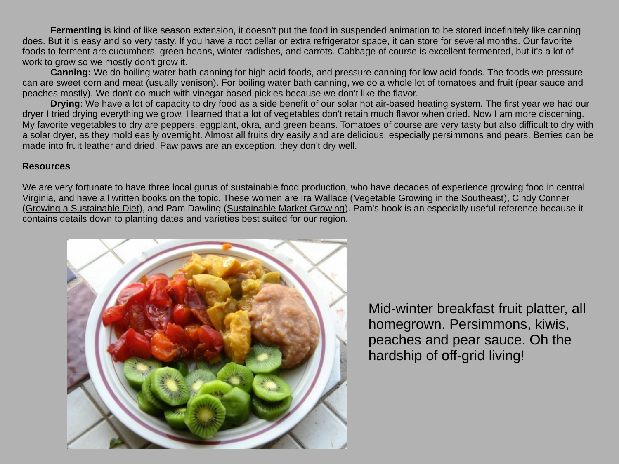**Fermenting** is kind of like season extension, it doesn't put the food in suspended animation to be stored indefinitely like canning does. But it is easy and so very tasty. If you have a root cellar or extra refrigerator space, it can store for several months. Our favorite foods to ferment are cucumbers, green beans, winter radishes, and carrots. Cabbage of course is excellent fermented, but it's a lot of work to grow so we mostly don't grow it.

**Canning:** We do boiling water bath canning for high acid foods, and pressure canning for low acid foods. The foods we pressure can are sweet corn and meat (usually venison). For boiling water bath canning, we do a whole lot of tomatoes and fruit (pear sauce and peaches mostly). We don't do much with vinegar based pickles because we don't like the flavor.

**Drying**: We have a lot of capacity to dry food as a side benefit of our solar hot air-based heating system. The first year we had our dryer I tried drying everything we grow. I learned that a lot of vegetables don't retain much flavor when dried. Now I am more discerning. My favorite vegetables to dry are peppers, eggplant, okra, and green beans. Tomatoes of course are very tasty but also difficult to dry with a solar dryer, as they mold easily overnight. Almost all fruits dry easily and are delicious, especially persimmons and pears. Berries can be made into fruit leather and dried. Paw paws are an exception, they don't dry well.

#### **Resources**

We are very fortunate to have three local gurus of sustainable food production, who have decades of experience growing food in central Virginia, and have all written books on the topic. These women are Ira Wallace (Vegetable Growing in the Southeast), Cindy Conner (Growing a Sustainable Diet), and Pam Dawling (Sustainable Market Growing). Pam's book is an especially useful reference because it contains details down to planting dates and varieties best suited for our region.



Mid-winter breakfast fruit platter, all homegrown. Persimmons, kiwis, peaches and pear sauce. Oh the hardship of off-grid living!